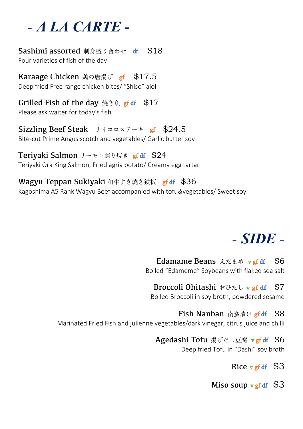## - **A LA CARTE -**

**Sashimi assorted** 刺身盛り合わせ df \$18 Four varieties of fish of the day

Karaage Chicken 鶏の唐揚げ gf \$17.5 Deep fried Free range chicken bites/ "Shiso" aioli

Grilled Fish of the day 焼き魚 gf df  $$17$ Please ask waiter for today's fish

Sizzling Beef Steak サイコロステーキ gf \$24.5 Bite-cut Prime Angus scotch and vegetables/ Garlic butter soy

Teriyaki Salmon サーモン照り焼き gf df \$24 Teriyaki Ora King Salmon, Fried agria potato/ Creamy egg tartar

Wagyu Teppan Sukiyaki 和牛すき焼き鉄板 gf df \$36 Kagoshima A5 Rank Wagyu Beef accompanied with tofu&vegetables/ Sweet soy

## - **SIDE** -

Edamame Beans えだまめ vgf df \$6 Boiled "Edameme" Soybeans with flaked sea salt

Broccoli Ohitashi おひたし **v gf df** \$7 Boiled Broccoli in soy broth, powdered sesame

**Fish Nanban** 南蛮漬け **gf df** \$8 Marinated Fried Fish and julienne vegetables/dark vinegar, citrus juice and chilli

> Agedashi Tofu 揚げだし豆腐 v gf df \$6 Deep fried Tofu in "Dashi" soy broth

> > Rice  $v$  ef df  $$3$

Miso soup  $\nabla$  gf df  $\$3$